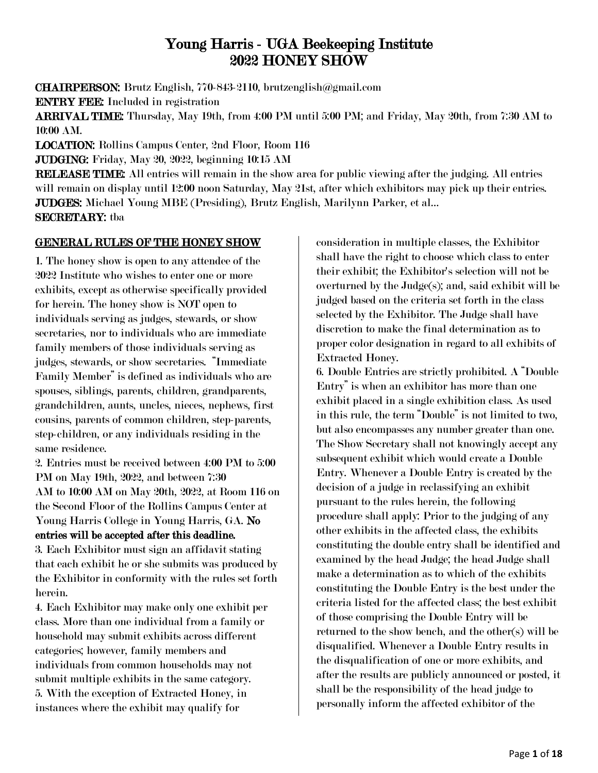# Young Harris - UGA Beekeeping Institute 2022 HONEY SHOW

CHAIRPERSON: Brutz English, 770-843-2110, brutzenglish@gmail.com ENTRY FEE: Included in registration

ARRIVAL TIME: Thursday, May 19th, from 4:00 PM until 5:00 PM; and Friday, May 20th, from 7:30 AM to 10:00 AM.

LOCATION: Rollins Campus Center, 2nd Floor, Room 116

JUDGING: Friday, May 20, 2022, beginning 10:15 AM

RELEASE TIME: All entries will remain in the show area for public viewing after the judging. All entries will remain on display until 12:00 noon Saturday, May 21st, after which exhibitors may pick up their entries. JUDGES: Michael Young MBE (Presiding), Brutz English, Marilynn Parker, et al… SECRETARY: tba

# GENERAL RULES OF THE HONEY SHOW

1. The honey show is open to any attendee of the 2022 Institute who wishes to enter one or more exhibits, except as otherwise specifically provided for herein. The honey show is NOT open to individuals serving as judges, stewards, or show secretaries, nor to individuals who are immediate family members of those individuals serving as judges, stewards, or show secretaries. "Immediate Family Member" is defined as individuals who are spouses, siblings, parents, children, grandparents, grandchildren, aunts, uncles, nieces, nephews, first cousins, parents of common children, step-parents, step-children, or any individuals residing in the same residence.

2. Entries must be received between 4:00 PM to 5:00 PM on May 19th, 2022, and between 7:30 AM to 10:00 AM on May 20th, 2022, at Room 116 on the Second Floor of the Rollins Campus Center at Young Harris College in Young Harris, GA. No entries will be accepted after this deadline.

3. Each Exhibitor must sign an affidavit stating that each exhibit he or she submits was produced by the Exhibitor in conformity with the rules set forth herein.

4. Each Exhibitor may make only one exhibit per class. More than one individual from a family or household may submit exhibits across different categories; however, family members and individuals from common households may not submit multiple exhibits in the same category. 5. With the exception of Extracted Honey, in instances where the exhibit may qualify for

consideration in multiple classes, the Exhibitor shall have the right to choose which class to enter their exhibit; the Exhibitor's selection will not be overturned by the Judge(s); and, said exhibit will be judged based on the criteria set forth in the class selected by the Exhibitor. The Judge shall have discretion to make the final determination as to proper color designation in regard to all exhibits of Extracted Honey.

6. Double Entries are strictly prohibited. A "Double Entry" is when an exhibitor has more than one exhibit placed in a single exhibition class. As used in this rule, the term "Double" is not limited to two, but also encompasses any number greater than one. The Show Secretary shall not knowingly accept any subsequent exhibit which would create a Double Entry. Whenever a Double Entry is created by the decision of a judge in reclassifying an exhibit pursuant to the rules herein, the following procedure shall apply: Prior to the judging of any other exhibits in the affected class, the exhibits constituting the double entry shall be identified and examined by the head Judge; the head Judge shall make a determination as to which of the exhibits constituting the Double Entry is the best under the criteria listed for the affected class; the best exhibit of those comprising the Double Entry will be returned to the show bench, and the other(s) will be disqualified. Whenever a Double Entry results in the disqualification of one or more exhibits, and after the results are publicly announced or posted, it shall be the responsibility of the head judge to personally inform the affected exhibitor of the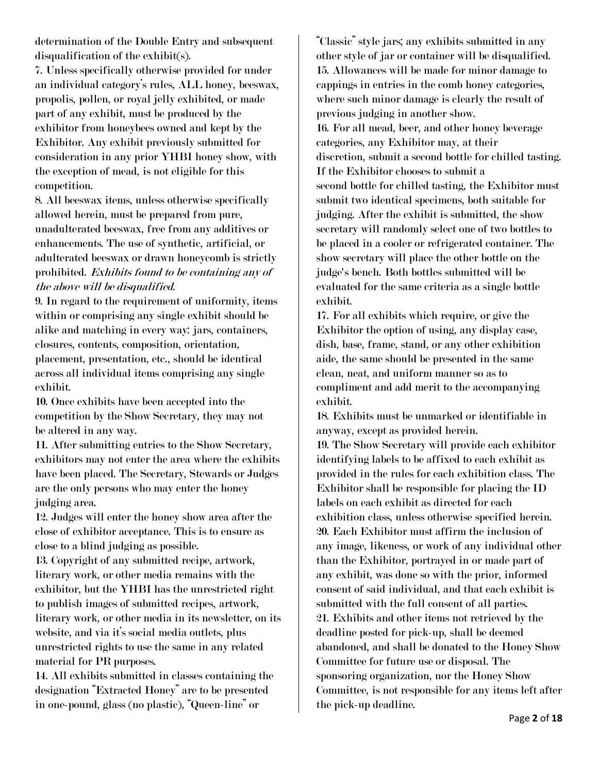determination of the Double Entry and subsequent disqualification of the exhibit(s).

7. Unless specifically otherwise provided for under an individual category's rules, ALL honey, beeswax, propolis, pollen, or royal jelly exhibited, or made part of any exhibit, must be produced by the exhibitor from honeybees owned and kept by the Exhibitor. Any exhibit previously submitted for consideration in any prior YHBI honey show, with the exception of mead, is not eligible for this competition.

8. All beeswax items, unless otherwise specifically allowed herein, must be prepared from pure, unadulterated beeswax, free from any additives or enhancements. The use of synthetic, artificial, or adulterated beeswax or drawn honeycomb is strictly prohibited. Exhibits found to be containing any of the above will be disqualified.

9. In regard to the requirement of uniformity, items within or comprising any single exhibit should be alike and matching in every way: jars, containers, closures, contents, composition, orientation, placement, presentation, etc., should be identical across all individual items comprising any single exhibit.

10. Once exhibits have been accepted into the competition by the Show Secretary, they may not be altered in any way.

11. After submitting entries to the Show Secretary, exhibitors may not enter the area where the exhibits have been placed. The Secretary, Stewards or Judges are the only persons who may enter the honey judging area.

12. Judges will enter the honey show area after the close of exhibitor acceptance. This is to ensure as close to a blind judging as possible.

13. Copyright of any submitted recipe, artwork, literary work, or other media remains with the exhibitor, but the YHBI has the unrestricted right to publish images of submitted recipes, artwork, literary work, or other media in its newsletter, on its website, and via it's social media outlets, plus unrestricted rights to use the same in any related material for PR purposes.

14. All exhibits submitted in classes containing the designation "Extracted Honey" are to be presented in one-pound, glass (no plastic), "Queen-line" or

"Classic" style jars; any exhibits submitted in any other style of jar or container will be disqualified. 15. Allowances will be made for minor damage to cappings in entries in the comb honey categories, where such minor damage is clearly the result of previous judging in another show.

16. For all mead, beer, and other honey beverage categories, any Exhibitor may, at their discretion, submit a second bottle for chilled tasting. If the Exhibitor chooses to submit a second bottle for chilled tasting, the Exhibitor must submit two identical specimens, both suitable for judging. After the exhibit is submitted, the show secretary will randomly select one of two bottles to be placed in a cooler or refrigerated container. The show secretary will place the other bottle on the judge's bench. Both bottles submitted will be evaluated for the same criteria as a single bottle exhibit.

17. For all exhibits which require, or give the Exhibitor the option of using, any display case, dish, base, frame, stand, or any other exhibition aide, the same should be presented in the same clean, neat, and uniform manner so as to compliment and add merit to the accompanying exhibit.

18. Exhibits must be unmarked or identifiable in anyway, except as provided herein.

19. The Show Secretary will provide each exhibitor identifying labels to be affixed to each exhibit as provided in the rules for each exhibition class. The Exhibitor shall be responsible for placing the ID labels on each exhibit as directed for each exhibition class, unless otherwise specified herein. 20. Each Exhibitor must affirm the inclusion of any image, likeness, or work of any individual other than the Exhibitor, portrayed in or made part of any exhibit, was done so with the prior, informed consent of said individual, and that each exhibit is submitted with the full consent of all parties. 21. Exhibits and other items not retrieved by the deadline posted for pick-up, shall be deemed abandoned, and shall be donated to the Honey Show Committee for future use or disposal. The sponsoring organization, nor the Honey Show Committee, is not responsible for any items left after the pick-up deadline.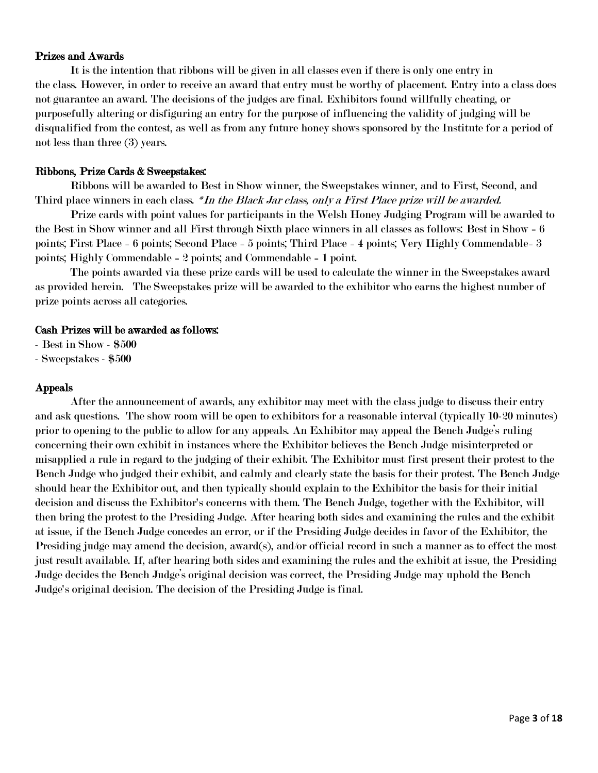# Prizes and Awards

It is the intention that ribbons will be given in all classes even if there is only one entry in the class. However, in order to receive an award that entry must be worthy of placement. Entry into a class does not guarantee an award. The decisions of the judges are final. Exhibitors found willfully cheating, or purposefully altering or disfiguring an entry for the purpose of influencing the validity of judging will be disqualified from the contest, as well as from any future honey shows sponsored by the Institute for a period of not less than three (3) years.

# Ribbons, Prize Cards & Sweepstakes:

Ribbons will be awarded to Best in Show winner, the Sweepstakes winner, and to First, Second, and Third place winners in each class. \*In the Black Jar class, only a First Place prize will be awarded.

Prize cards with point values for participants in the Welsh Honey Judging Program will be awarded to the Best in Show winner and all First through Sixth place winners in all classes as follows: Best in Show = 6 points; First Place = 6 points; Second Place = 5 points; Third Place = 4 points; Very Highly Commendable= 3 points; Highly Commendable = 2 points; and Commendable = 1 point.

The points awarded via these prize cards will be used to calculate the winner in the Sweepstakes award as provided herein. The Sweepstakes prize will be awarded to the exhibitor who earns the highest number of prize points across all categories.

# Cash Prizes will be awarded as follows:

- Best in Show - \$500

- Sweepstakes - \$500

# Appeals

After the announcement of awards, any exhibitor may meet with the class judge to discuss their entry and ask questions. The show room will be open to exhibitors for a reasonable interval (typically 10-20 minutes) prior to opening to the public to allow for any appeals. An Exhibitor may appeal the Bench Judge's ruling concerning their own exhibit in instances where the Exhibitor believes the Bench Judge misinterpreted or misapplied a rule in regard to the judging of their exhibit. The Exhibitor must first present their protest to the Bench Judge who judged their exhibit, and calmly and clearly state the basis for their protest. The Bench Judge should hear the Exhibitor out, and then typically should explain to the Exhibitor the basis for their initial decision and discuss the Exhibitor's concerns with them. The Bench Judge, together with the Exhibitor, will then bring the protest to the Presiding Judge. After hearing both sides and examining the rules and the exhibit at issue, if the Bench Judge concedes an error, or if the Presiding Judge decides in favor of the Exhibitor, the Presiding judge may amend the decision, award(s), and/or official record in such a manner as to effect the most just result available. If, after hearing both sides and examining the rules and the exhibit at issue, the Presiding Judge decides the Bench Judge's original decision was correct, the Presiding Judge may uphold the Bench Judge's original decision. The decision of the Presiding Judge is final.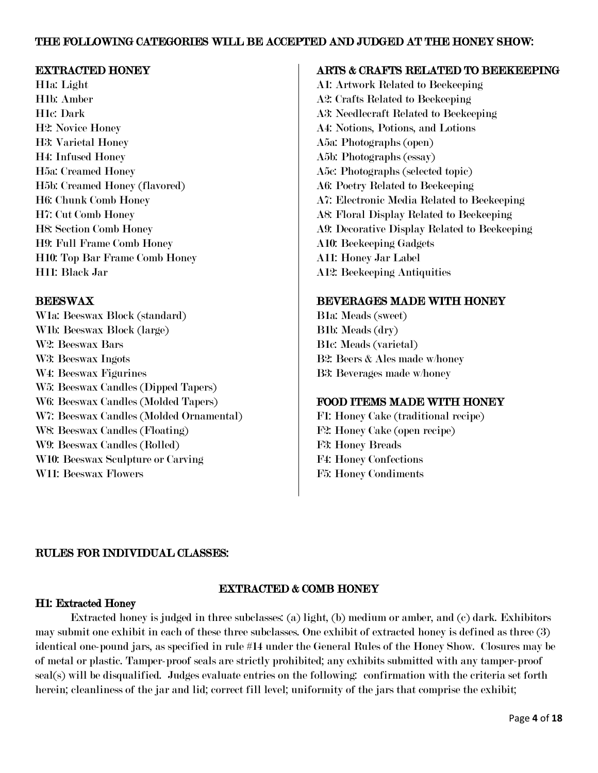# THE FOLLOWING CATEGORIES WILL BE ACCEPTED AND JUDGED AT THE HONEY SHOW:

# EXTRACTED HONEY

H1a: Light H1b: Amber H1c: Dark H2: Novice Honey H3: Varietal Honey H4: Infused Honey H5a: Creamed Honey H5b: Creamed Honey (flavored) H6: Chunk Comb Honey H7: Cut Comb Honey H8: Section Comb Honey H9: Full Frame Comb Honey H10: Top Bar Frame Comb Honey H11: Black Jar

# BEESWAX

W1a: Beeswax Block (standard) W1b: Beeswax Block (large) W2: Beeswax Bars W3: Beeswax Ingots W4: Beeswax Figurines W5: Beeswax Candles (Dipped Tapers) W6: Beeswax Candles (Molded Tapers) W7: Beeswax Candles (Molded Ornamental) W8: Beeswax Candles (Floating) W9: Beeswax Candles (Rolled) W10: Beeswax Sculpture or Carving W11: Beeswax Flowers

# ARTS & CRAFTS RELATED TO BEEKEEPING

A1: Artwork Related to Beekeeping A2: Crafts Related to Beekeeping A3: Needlecraft Related to Beekeeping A4: Notions, Potions, and Lotions A5a: Photographs (open) A5b: Photographs (essay) A5c: Photographs (selected topic) A6: Poetry Related to Beekeeping A7: Electronic Media Related to Beekeeping A8: Floral Display Related to Beekeeping A9: Decorative Display Related to Beekeeping A10: Beekeeping Gadgets A11: Honey Jar Label A12: Beekeeping Antiquities

# BEVERAGES MADE WITH HONEY

B1a: Meads (sweet) B1b: Meads (dry) B1c: Meads (varietal) B2: Beers & Ales made w/honey B3: Beverages made w/honey

# FOOD ITEMS MADE WITH HONEY

F1: Honey Cake (traditional recipe) F2: Honey Cake (open recipe) F3: Honey Breads F4: Honey Confections F5: Honey Condiments

# RULES FOR INDIVIDUAL CLASSES:

# EXTRACTED & COMB HONEY

# H1: Extracted Honey

Extracted honey is judged in three subclasses: (a) light, (b) medium or amber, and (c) dark. Exhibitors may submit one exhibit in each of these three subclasses. One exhibit of extracted honey is defined as three (3) identical one-pound jars, as specified in rule #14 under the General Rules of the Honey Show. Closures may be of metal or plastic. Tamper-proof seals are strictly prohibited; any exhibits submitted with any tamper-proof seal(s) will be disqualified. Judges evaluate entries on the following: confirmation with the criteria set forth herein; cleanliness of the jar and lid; correct fill level; uniformity of the jars that comprise the exhibit;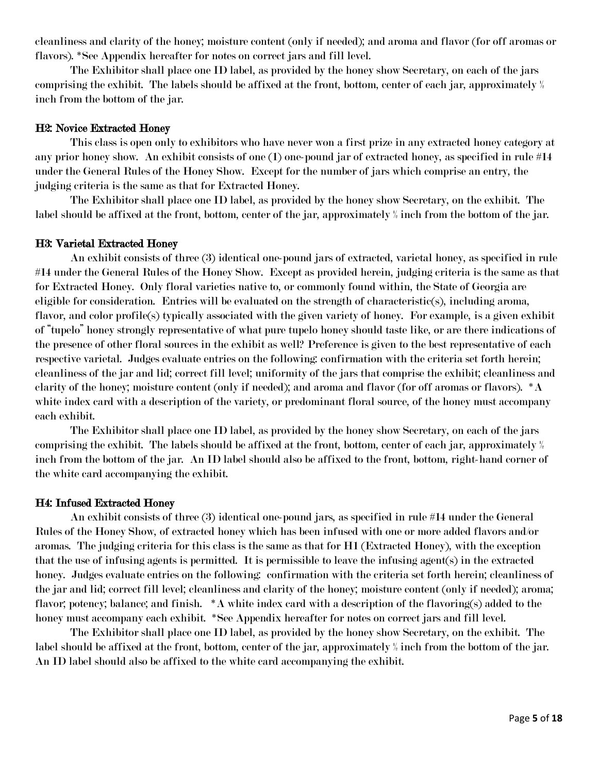cleanliness and clarity of the honey; moisture content (only if needed); and aroma and flavor (for off aromas or flavors). \*See Appendix hereafter for notes on correct jars and fill level.

The Exhibitor shall place one ID label, as provided by the honey show Secretary, on each of the jars comprising the exhibit. The labels should be affixed at the front, bottom, center of each jar, approximately ½ inch from the bottom of the jar.

#### H2: Novice Extracted Honey

This class is open only to exhibitors who have never won a first prize in any extracted honey category at any prior honey show. An exhibit consists of one (1) one-pound jar of extracted honey, as specified in rule #14 under the General Rules of the Honey Show. Except for the number of jars which comprise an entry, the judging criteria is the same as that for Extracted Honey.

The Exhibitor shall place one ID label, as provided by the honey show Secretary, on the exhibit. The label should be affixed at the front, bottom, center of the jar, approximately ½ inch from the bottom of the jar.

### H3: Varietal Extracted Honey

An exhibit consists of three (3) identical one-pound jars of extracted, varietal honey, as specified in rule #14 under the General Rules of the Honey Show. Except as provided herein, judging criteria is the same as that for Extracted Honey. Only floral varieties native to, or commonly found within, the State of Georgia are eligible for consideration. Entries will be evaluated on the strength of characteristic(s), including aroma, flavor, and color profile(s) typically associated with the given variety of honey. For example, is a given exhibit of "tupelo" honey strongly representative of what pure tupelo honey should taste like, or are there indications of the presence of other floral sources in the exhibit as well? Preference is given to the best representative of each respective varietal. Judges evaluate entries on the following: confirmation with the criteria set forth herein; cleanliness of the jar and lid; correct fill level; uniformity of the jars that comprise the exhibit; cleanliness and clarity of the honey; moisture content (only if needed); and aroma and flavor (for off aromas or flavors). \*A white index card with a description of the variety, or predominant floral source, of the honey must accompany each exhibit.

The Exhibitor shall place one ID label, as provided by the honey show Secretary, on each of the jars comprising the exhibit. The labels should be affixed at the front, bottom, center of each jar, approximately ½ inch from the bottom of the jar. An ID label should also be affixed to the front, bottom, right-hand corner of the white card accompanying the exhibit.

#### H4: Infused Extracted Honey

An exhibit consists of three (3) identical one-pound jars, as specified in rule #14 under the General Rules of the Honey Show, of extracted honey which has been infused with one or more added flavors and/or aromas. The judging criteria for this class is the same as that for H1 (Extracted Honey), with the exception that the use of infusing agents is permitted. It is permissible to leave the infusing agent(s) in the extracted honey. Judges evaluate entries on the following: confirmation with the criteria set forth herein; cleanliness of the jar and lid; correct fill level; cleanliness and clarity of the honey; moisture content (only if needed); aroma; flavor; potency; balance; and finish. \*A white index card with a description of the flavoring(s) added to the honey must accompany each exhibit. \*See Appendix hereafter for notes on correct jars and fill level.

The Exhibitor shall place one ID label, as provided by the honey show Secretary, on the exhibit. The label should be affixed at the front, bottom, center of the jar, approximately ½ inch from the bottom of the jar. An ID label should also be affixed to the white card accompanying the exhibit.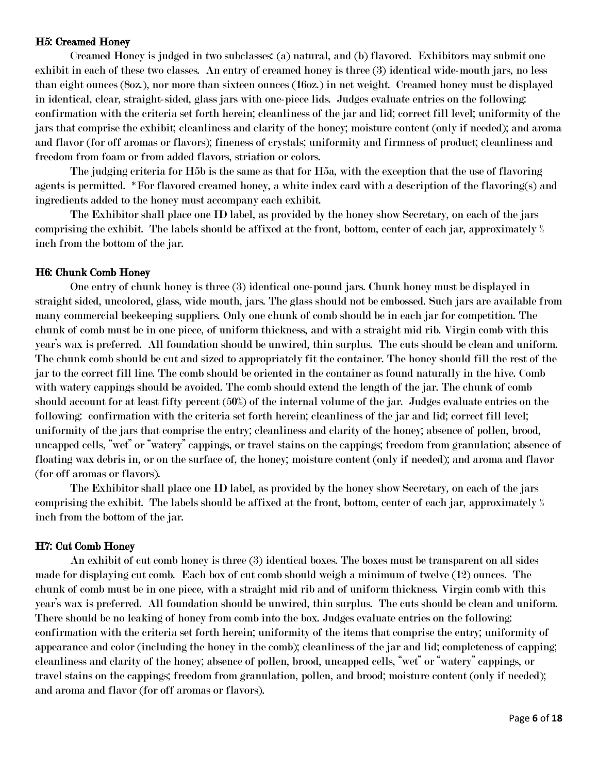### H5: Creamed Honey

Creamed Honey is judged in two subclasses: (a) natural, and (b) flavored. Exhibitors may submit one exhibit in each of these two classes. An entry of creamed honey is three (3) identical wide-mouth jars, no less than eight ounces (8oz.), nor more than sixteen ounces (16oz.) in net weight. Creamed honey must be displayed in identical, clear, straight-sided, glass jars with one-piece lids. Judges evaluate entries on the following: confirmation with the criteria set forth herein; cleanliness of the jar and lid; correct fill level; uniformity of the jars that comprise the exhibit; cleanliness and clarity of the honey; moisture content (only if needed); and aroma and flavor (for off aromas or flavors); fineness of crystals; uniformity and firmness of product; cleanliness and freedom from foam or from added flavors, striation or colors.

The judging criteria for H5b is the same as that for H5a, with the exception that the use of flavoring agents is permitted. \*For flavored creamed honey, a white index card with a description of the flavoring(s) and ingredients added to the honey must accompany each exhibit.

The Exhibitor shall place one ID label, as provided by the honey show Secretary, on each of the jars comprising the exhibit. The labels should be affixed at the front, bottom, center of each jar, approximately ½ inch from the bottom of the jar.

# H6: Chunk Comb Honey

One entry of chunk honey is three (3) identical one-pound jars. Chunk honey must be displayed in straight sided, uncolored, glass, wide mouth, jars. The glass should not be embossed. Such jars are available from many commercial beekeeping suppliers. Only one chunk of comb should be in each jar for competition. The chunk of comb must be in one piece, of uniform thickness, and with a straight mid rib. Virgin comb with this year's wax is preferred. All foundation should be unwired, thin surplus. The cuts should be clean and uniform. The chunk comb should be cut and sized to appropriately fit the container. The honey should fill the rest of the jar to the correct fill line. The comb should be oriented in the container as found naturally in the hive. Comb with watery cappings should be avoided. The comb should extend the length of the jar. The chunk of comb should account for at least fifty percent (50%) of the internal volume of the jar. Judges evaluate entries on the following: confirmation with the criteria set forth herein; cleanliness of the jar and lid; correct fill level; uniformity of the jars that comprise the entry; cleanliness and clarity of the honey; absence of pollen, brood, uncapped cells, "wet" or "watery" cappings, or travel stains on the cappings; freedom from granulation; absence of floating wax debris in, or on the surface of, the honey; moisture content (only if needed); and aroma and flavor (for off aromas or flavors).

The Exhibitor shall place one ID label, as provided by the honey show Secretary, on each of the jars comprising the exhibit. The labels should be affixed at the front, bottom, center of each jar, approximately ½ inch from the bottom of the jar.

#### H7: Cut Comb Honey

An exhibit of cut comb honey is three (3) identical boxes. The boxes must be transparent on all sides made for displaying cut comb. Each box of cut comb should weigh a minimum of twelve (12) ounces. The chunk of comb must be in one piece, with a straight mid rib and of uniform thickness. Virgin comb with this year's wax is preferred. All foundation should be unwired, thin surplus. The cuts should be clean and uniform. There should be no leaking of honey from comb into the box. Judges evaluate entries on the following: confirmation with the criteria set forth herein; uniformity of the items that comprise the entry; uniformity of appearance and color (including the honey in the comb); cleanliness of the jar and lid; completeness of capping; cleanliness and clarity of the honey; absence of pollen, brood, uncapped cells, "wet" or "watery" cappings, or travel stains on the cappings; freedom from granulation, pollen, and brood; moisture content (only if needed); and aroma and flavor (for off aromas or flavors).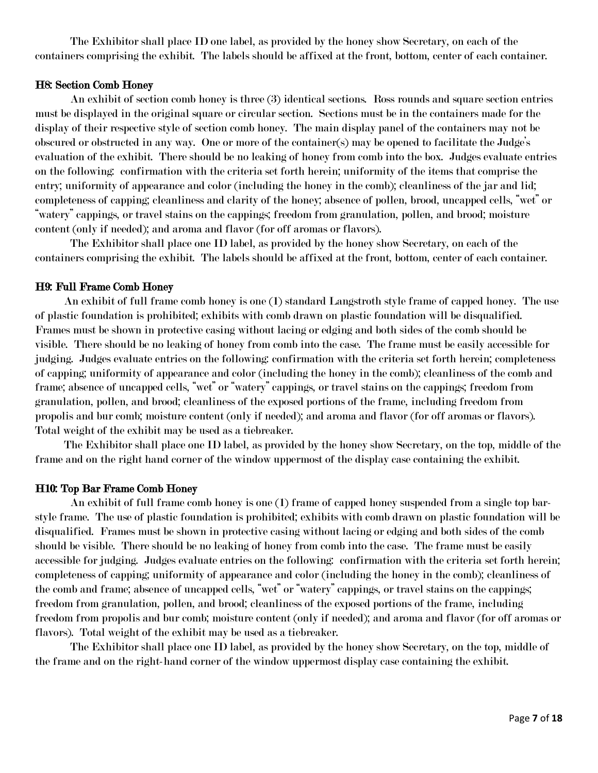The Exhibitor shall place ID one label, as provided by the honey show Secretary, on each of the containers comprising the exhibit. The labels should be affixed at the front, bottom, center of each container.

#### H8: Section Comb Honey

An exhibit of section comb honey is three (3) identical sections. Ross rounds and square section entries must be displayed in the original square or circular section. Sections must be in the containers made for the display of their respective style of section comb honey. The main display panel of the containers may not be obscured or obstructed in any way. One or more of the container(s) may be opened to facilitate the Judge's evaluation of the exhibit. There should be no leaking of honey from comb into the box. Judges evaluate entries on the following: confirmation with the criteria set forth herein; uniformity of the items that comprise the entry; uniformity of appearance and color (including the honey in the comb); cleanliness of the jar and lid; completeness of capping; cleanliness and clarity of the honey; absence of pollen, brood, uncapped cells, "wet" or "watery" cappings, or travel stains on the cappings; freedom from granulation, pollen, and brood; moisture content (only if needed); and aroma and flavor (for off aromas or flavors).

The Exhibitor shall place one ID label, as provided by the honey show Secretary, on each of the containers comprising the exhibit. The labels should be affixed at the front, bottom, center of each container.

#### H9: Full Frame Comb Honey

 An exhibit of full frame comb honey is one (1) standard Langstroth style frame of capped honey. The use of plastic foundation is prohibited; exhibits with comb drawn on plastic foundation will be disqualified. Frames must be shown in protective casing without lacing or edging and both sides of the comb should be visible. There should be no leaking of honey from comb into the case. The frame must be easily accessible for judging. Judges evaluate entries on the following: confirmation with the criteria set forth herein; completeness of capping; uniformity of appearance and color (including the honey in the comb); cleanliness of the comb and frame; absence of uncapped cells, "wet" or "watery" cappings, or travel stains on the cappings; freedom from granulation, pollen, and brood; cleanliness of the exposed portions of the frame, including freedom from propolis and bur comb; moisture content (only if needed); and aroma and flavor (for off aromas or flavors). Total weight of the exhibit may be used as a tiebreaker.

 The Exhibitor shall place one ID label, as provided by the honey show Secretary, on the top, middle of the frame and on the right hand corner of the window uppermost of the display case containing the exhibit.

# H10: Top Bar Frame Comb Honey

An exhibit of full frame comb honey is one (1) frame of capped honey suspended from a single top barstyle frame. The use of plastic foundation is prohibited; exhibits with comb drawn on plastic foundation will be disqualified. Frames must be shown in protective casing without lacing or edging and both sides of the comb should be visible. There should be no leaking of honey from comb into the case. The frame must be easily accessible for judging. Judges evaluate entries on the following: confirmation with the criteria set forth herein; completeness of capping; uniformity of appearance and color (including the honey in the comb); cleanliness of the comb and frame; absence of uncapped cells, "wet" or "watery" cappings, or travel stains on the cappings; freedom from granulation, pollen, and brood; cleanliness of the exposed portions of the frame, including freedom from propolis and bur comb; moisture content (only if needed); and aroma and flavor (for off aromas or flavors). Total weight of the exhibit may be used as a tiebreaker.

The Exhibitor shall place one ID label, as provided by the honey show Secretary, on the top, middle of the frame and on the right-hand corner of the window uppermost display case containing the exhibit.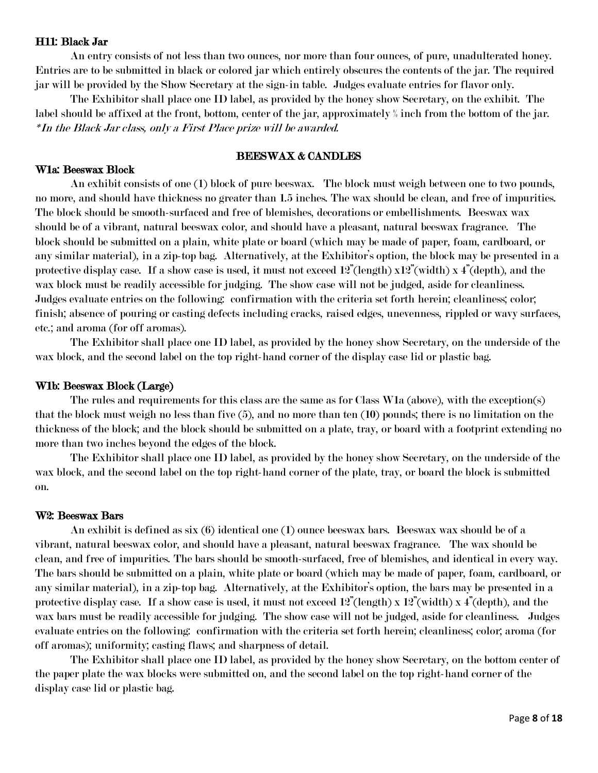# H11: Black Jar

An entry consists of not less than two ounces, nor more than four ounces, of pure, unadulterated honey. Entries are to be submitted in black or colored jar which entirely obscures the contents of the jar. The required jar will be provided by the Show Secretary at the sign-in table. Judges evaluate entries for flavor only.

The Exhibitor shall place one ID label, as provided by the honey show Secretary, on the exhibit. The label should be affixed at the front, bottom, center of the jar, approximately ½ inch from the bottom of the jar. \*In the Black Jar class, only a First Place prize will be awarded.

# BEESWAX & CANDLES

#### W1a: Beeswax Block

 An exhibit consists of one (1) block of pure beeswax. The block must weigh between one to two pounds, no more, and should have thickness no greater than 1.5 inches. The wax should be clean, and free of impurities. The block should be smooth-surfaced and free of blemishes, decorations or embellishments. Beeswax wax should be of a vibrant, natural beeswax color, and should have a pleasant, natural beeswax fragrance. The block should be submitted on a plain, white plate or board (which may be made of paper, foam, cardboard, or any similar material), in a zip-top bag. Alternatively, at the Exhibitor's option, the block may be presented in a protective display case. If a show case is used, it must not exceed  $12^{\degree}(\text{length}) \times 12^{\degree}(\text{width}) \times 4^{\degree}(\text{depth})$ , and the wax block must be readily accessible for judging. The show case will not be judged, aside for cleanliness. Judges evaluate entries on the following: confirmation with the criteria set forth herein; cleanliness; color; finish; absence of pouring or casting defects including cracks, raised edges, unevenness, rippled or wavy surfaces, etc.; and aroma (for off aromas).

The Exhibitor shall place one ID label, as provided by the honey show Secretary, on the underside of the wax block, and the second label on the top right-hand corner of the display case lid or plastic bag.

#### W1b: Beeswax Block (Large)

The rules and requirements for this class are the same as for Class W1a (above), with the exception(s) that the block must weigh no less than five (5), and no more than ten (10) pounds; there is no limitation on the thickness of the block; and the block should be submitted on a plate, tray, or board with a footprint extending no more than two inches beyond the edges of the block.

The Exhibitor shall place one ID label, as provided by the honey show Secretary, on the underside of the wax block, and the second label on the top right-hand corner of the plate, tray, or board the block is submitted on.

#### W2: Beeswax Bars

An exhibit is defined as six (6) identical one (1) ounce beeswax bars. Beeswax wax should be of a vibrant, natural beeswax color, and should have a pleasant, natural beeswax fragrance. The wax should be clean, and free of impurities. The bars should be smooth-surfaced, free of blemishes, and identical in every way. The bars should be submitted on a plain, white plate or board (which may be made of paper, foam, cardboard, or any similar material), in a zip-top bag. Alternatively, at the Exhibitor's option, the bars may be presented in a protective display case. If a show case is used, it must not exceed  $12^{\degree}(\text{length}) \times 12^{\degree}(\text{width}) \times 4^{\degree}(\text{depth})$ , and the wax bars must be readily accessible for judging. The show case will not be judged, aside for cleanliness. Judges evaluate entries on the following: confirmation with the criteria set forth herein; cleanliness; color; aroma (for off aromas); uniformity; casting flaws; and sharpness of detail.

The Exhibitor shall place one ID label, as provided by the honey show Secretary, on the bottom center of the paper plate the wax blocks were submitted on, and the second label on the top right-hand corner of the display case lid or plastic bag.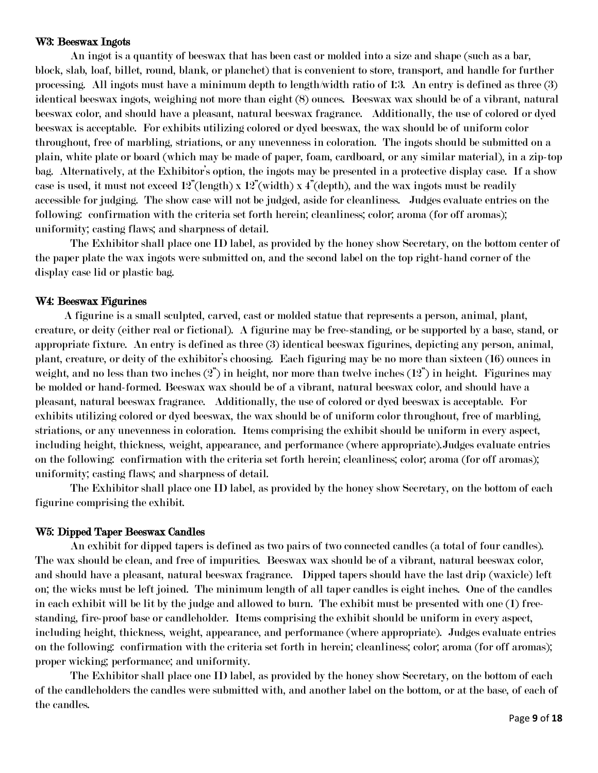#### W3: Beeswax Ingots

An ingot is a quantity of beeswax that has been cast or molded into a size and shape (such as a bar, block, slab, loaf, billet, round, blank, or planchet) that is convenient to store, transport, and handle for further processing. All ingots must have a minimum depth to length/width ratio of 1:3. An entry is defined as three (3) identical beeswax ingots, weighing not more than eight (8) ounces. Beeswax wax should be of a vibrant, natural beeswax color, and should have a pleasant, natural beeswax fragrance. Additionally, the use of colored or dyed beeswax is acceptable. For exhibits utilizing colored or dyed beeswax, the wax should be of uniform color throughout, free of marbling, striations, or any unevenness in coloration. The ingots should be submitted on a plain, white plate or board (which may be made of paper, foam, cardboard, or any similar material), in a zip-top bag. Alternatively, at the Exhibitor's option, the ingots may be presented in a protective display case. If a show case is used, it must not exceed  $12^{\degree}(\text{length}) \times 12^{\degree}(\text{width}) \times 4^{\degree}(\text{depth})$ , and the wax ingots must be readily accessible for judging. The show case will not be judged, aside for cleanliness. Judges evaluate entries on the following: confirmation with the criteria set forth herein; cleanliness; color; aroma (for off aromas); uniformity; casting flaws; and sharpness of detail.

The Exhibitor shall place one ID label, as provided by the honey show Secretary, on the bottom center of the paper plate the wax ingots were submitted on, and the second label on the top right-hand corner of the display case lid or plastic bag.

# W4: Beeswax Figurines

 A figurine is a small sculpted, carved, cast or molded statue that represents a person, animal, plant, creature, or deity (either real or fictional). A figurine may be free-standing, or be supported by a base, stand, or appropriate fixture. An entry is defined as three (3) identical beeswax figurines, depicting any person, animal, plant, creature, or deity of the exhibitor's choosing. Each figuring may be no more than sixteen (16) ounces in weight, and no less than two inches  $(2)$  in height, nor more than twelve inches  $(12)$  in height. Figurines may be molded or hand-formed. Beeswax wax should be of a vibrant, natural beeswax color, and should have a pleasant, natural beeswax fragrance. Additionally, the use of colored or dyed beeswax is acceptable. For exhibits utilizing colored or dyed beeswax, the wax should be of uniform color throughout, free of marbling, striations, or any unevenness in coloration. Items comprising the exhibit should be uniform in every aspect, including height, thickness, weight, appearance, and performance (where appropriate).Judges evaluate entries on the following: confirmation with the criteria set forth herein; cleanliness; color; aroma (for off aromas); uniformity; casting flaws; and sharpness of detail.

The Exhibitor shall place one ID label, as provided by the honey show Secretary, on the bottom of each figurine comprising the exhibit.

### W5: Dipped Taper Beeswax Candles

An exhibit for dipped tapers is defined as two pairs of two connected candles (a total of four candles). The wax should be clean, and free of impurities. Beeswax wax should be of a vibrant, natural beeswax color, and should have a pleasant, natural beeswax fragrance. Dipped tapers should have the last drip (waxicle) left on; the wicks must be left joined. The minimum length of all taper candles is eight inches. One of the candles in each exhibit will be lit by the judge and allowed to burn. The exhibit must be presented with one (1) freestanding, fire-proof base or candleholder. Items comprising the exhibit should be uniform in every aspect, including height, thickness, weight, appearance, and performance (where appropriate). Judges evaluate entries on the following: confirmation with the criteria set forth in herein; cleanliness; color; aroma (for off aromas); proper wicking; performance; and uniformity.

The Exhibitor shall place one ID label, as provided by the honey show Secretary, on the bottom of each of the candleholders the candles were submitted with, and another label on the bottom, or at the base, of each of the candles.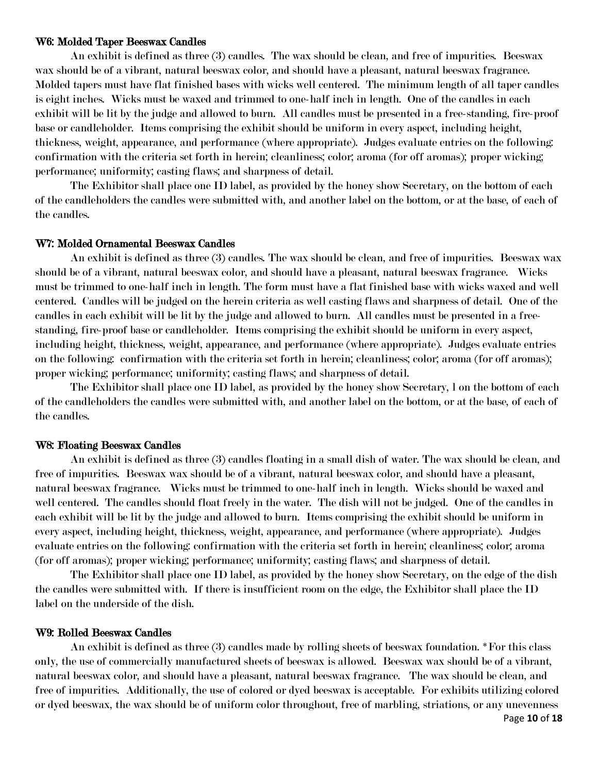#### W6: Molded Taper Beeswax Candles

An exhibit is defined as three (3) candles. The wax should be clean, and free of impurities. Beeswax wax should be of a vibrant, natural beeswax color, and should have a pleasant, natural beeswax fragrance. Molded tapers must have flat finished bases with wicks well centered. The minimum length of all taper candles is eight inches. Wicks must be waxed and trimmed to one-half inch in length. One of the candles in each exhibit will be lit by the judge and allowed to burn. All candles must be presented in a free-standing, fire-proof base or candleholder. Items comprising the exhibit should be uniform in every aspect, including height, thickness, weight, appearance, and performance (where appropriate). Judges evaluate entries on the following: confirmation with the criteria set forth in herein; cleanliness; color; aroma (for off aromas); proper wicking; performance; uniformity; casting flaws; and sharpness of detail.

The Exhibitor shall place one ID label, as provided by the honey show Secretary, on the bottom of each of the candleholders the candles were submitted with, and another label on the bottom, or at the base, of each of the candles.

#### W7: Molded Ornamental Beeswax Candles

An exhibit is defined as three (3) candles. The wax should be clean, and free of impurities. Beeswax wax should be of a vibrant, natural beeswax color, and should have a pleasant, natural beeswax fragrance. Wicks must be trimmed to one-half inch in length. The form must have a flat finished base with wicks waxed and well centered. Candles will be judged on the herein criteria as well casting flaws and sharpness of detail. One of the candles in each exhibit will be lit by the judge and allowed to burn. All candles must be presented in a freestanding, fire-proof base or candleholder. Items comprising the exhibit should be uniform in every aspect, including height, thickness, weight, appearance, and performance (where appropriate). Judges evaluate entries on the following: confirmation with the criteria set forth in herein; cleanliness; color; aroma (for off aromas); proper wicking; performance; uniformity; casting flaws; and sharpness of detail.

The Exhibitor shall place one ID label, as provided by the honey show Secretary, l on the bottom of each of the candleholders the candles were submitted with, and another label on the bottom, or at the base, of each of the candles.

#### W8: Floating Beeswax Candles

An exhibit is defined as three (3) candles floating in a small dish of water. The wax should be clean, and free of impurities. Beeswax wax should be of a vibrant, natural beeswax color, and should have a pleasant, natural beeswax fragrance. Wicks must be trimmed to one-half inch in length. Wicks should be waxed and well centered. The candles should float freely in the water. The dish will not be judged. One of the candles in each exhibit will be lit by the judge and allowed to burn. Items comprising the exhibit should be uniform in every aspect, including height, thickness, weight, appearance, and performance (where appropriate). Judges evaluate entries on the following: confirmation with the criteria set forth in herein; cleanliness; color; aroma (for off aromas); proper wicking; performance; uniformity; casting flaws; and sharpness of detail.

The Exhibitor shall place one ID label, as provided by the honey show Secretary, on the edge of the dish the candles were submitted with. If there is insufficient room on the edge, the Exhibitor shall place the ID label on the underside of the dish.

#### W9: Rolled Beeswax Candles

An exhibit is defined as three (3) candles made by rolling sheets of beeswax foundation. \*For this class only, the use of commercially manufactured sheets of beeswax is allowed. Beeswax wax should be of a vibrant, natural beeswax color, and should have a pleasant, natural beeswax fragrance. The wax should be clean, and free of impurities. Additionally, the use of colored or dyed beeswax is acceptable. For exhibits utilizing colored or dyed beeswax, the wax should be of uniform color throughout, free of marbling, striations, or any unevenness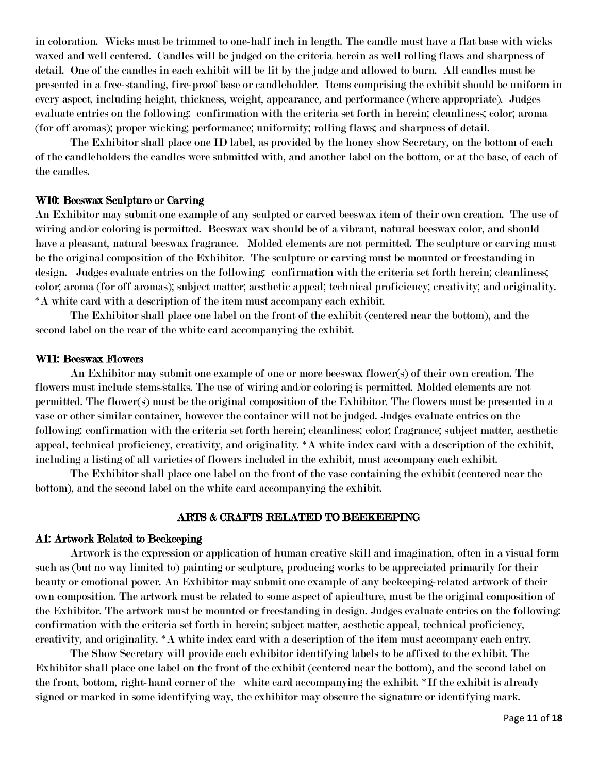in coloration. Wicks must be trimmed to one-half inch in length. The candle must have a flat base with wicks waxed and well centered. Candles will be judged on the criteria herein as well rolling flaws and sharpness of detail. One of the candles in each exhibit will be lit by the judge and allowed to burn. All candles must be presented in a free-standing, fire-proof base or candleholder. Items comprising the exhibit should be uniform in every aspect, including height, thickness, weight, appearance, and performance (where appropriate). Judges evaluate entries on the following: confirmation with the criteria set forth in herein; cleanliness; color; aroma (for off aromas); proper wicking; performance; uniformity; rolling flaws; and sharpness of detail.

The Exhibitor shall place one ID label, as provided by the honey show Secretary, on the bottom of each of the candleholders the candles were submitted with, and another label on the bottom, or at the base, of each of the candles.

# W10: Beeswax Sculpture or Carving

An Exhibitor may submit one example of any sculpted or carved beeswax item of their own creation. The use of wiring and/or coloring is permitted. Beeswax wax should be of a vibrant, natural beeswax color, and should have a pleasant, natural beeswax fragrance. Molded elements are not permitted. The sculpture or carving must be the original composition of the Exhibitor. The sculpture or carving must be mounted or freestanding in design. Judges evaluate entries on the following: confirmation with the criteria set forth herein; cleanliness; color; aroma (for off aromas); subject matter; aesthetic appeal; technical proficiency; creativity; and originality. \*A white card with a description of the item must accompany each exhibit.

The Exhibitor shall place one label on the front of the exhibit (centered near the bottom), and the second label on the rear of the white card accompanying the exhibit.

#### W11: Beeswax Flowers

An Exhibitor may submit one example of one or more beeswax flower(s) of their own creation. The flowers must include stems/stalks. The use of wiring and/or coloring is permitted. Molded elements are not permitted. The flower(s) must be the original composition of the Exhibitor. The flowers must be presented in a vase or other similar container, however the container will not be judged. Judges evaluate entries on the following: confirmation with the criteria set forth herein; cleanliness; color; fragrance; subject matter, aesthetic appeal, technical proficiency, creativity, and originality. \*A white index card with a description of the exhibit, including a listing of all varieties of flowers included in the exhibit, must accompany each exhibit.

The Exhibitor shall place one label on the front of the vase containing the exhibit (centered near the bottom), and the second label on the white card accompanying the exhibit.

### ARTS & CRAFTS RELATED TO BEEKEEPING

#### A1: Artwork Related to Beekeeping

Artwork is the expression or application of human creative skill and imagination, often in a visual form such as (but no way limited to) painting or sculpture, producing works to be appreciated primarily for their beauty or emotional power. An Exhibitor may submit one example of any beekeeping-related artwork of their own composition. The artwork must be related to some aspect of apiculture, must be the original composition of the Exhibitor. The artwork must be mounted or freestanding in design. Judges evaluate entries on the following: confirmation with the criteria set forth in herein; subject matter, aesthetic appeal, technical proficiency, creativity, and originality. \*A white index card with a description of the item must accompany each entry.

The Show Secretary will provide each exhibitor identifying labels to be affixed to the exhibit. The Exhibitor shall place one label on the front of the exhibit (centered near the bottom), and the second label on the front, bottom, right-hand corner of the white card accompanying the exhibit. \*If the exhibit is already signed or marked in some identifying way, the exhibitor may obscure the signature or identifying mark.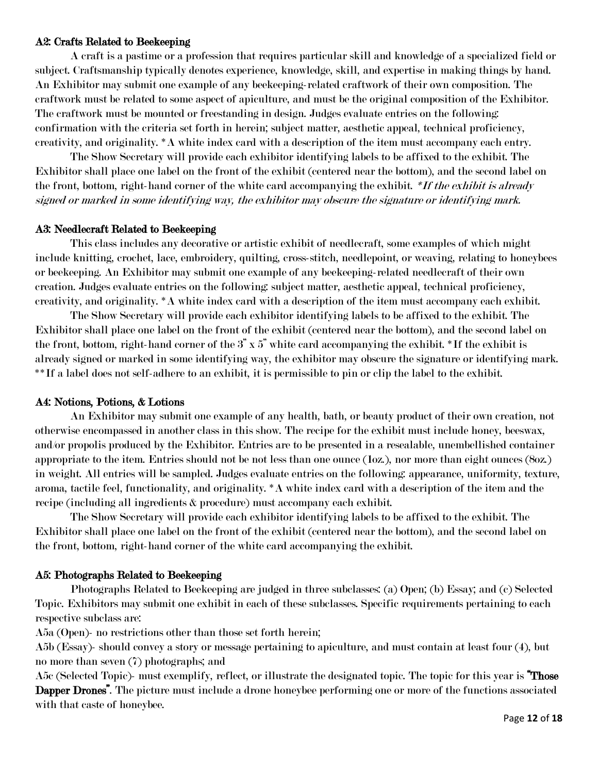### A2: Crafts Related to Beekeeping

A craft is a pastime or a profession that requires particular skill and knowledge of a specialized field or subject. Craftsmanship typically denotes experience, knowledge, skill, and expertise in making things by hand. An Exhibitor may submit one example of any beekeeping-related craftwork of their own composition. The craftwork must be related to some aspect of apiculture, and must be the original composition of the Exhibitor. The craftwork must be mounted or freestanding in design. Judges evaluate entries on the following: confirmation with the criteria set forth in herein; subject matter, aesthetic appeal, technical proficiency, creativity, and originality. \*A white index card with a description of the item must accompany each entry.

The Show Secretary will provide each exhibitor identifying labels to be affixed to the exhibit. The Exhibitor shall place one label on the front of the exhibit (centered near the bottom), and the second label on the front, bottom, right-hand corner of the white card accompanying the exhibit. \*If the exhibit is already signed or marked in some identifying way, the exhibitor may obscure the signature or identifying mark.

#### A3: Needlecraft Related to Beekeeping

This class includes any decorative or artistic exhibit of needlecraft, some examples of which might include knitting, crochet, lace, embroidery, quilting, cross-stitch, needlepoint, or weaving, relating to honeybees or beekeeping. An Exhibitor may submit one example of any beekeeping-related needlecraft of their own creation. Judges evaluate entries on the following: subject matter, aesthetic appeal, technical proficiency, creativity, and originality. \*A white index card with a description of the item must accompany each exhibit.

The Show Secretary will provide each exhibitor identifying labels to be affixed to the exhibit. The Exhibitor shall place one label on the front of the exhibit (centered near the bottom), and the second label on the front, bottom, right-hand corner of the 3" x 5" white card accompanying the exhibit. \*If the exhibit is already signed or marked in some identifying way, the exhibitor may obscure the signature or identifying mark. \*\*If a label does not self-adhere to an exhibit, it is permissible to pin or clip the label to the exhibit.

#### A4: Notions, Potions, & Lotions

An Exhibitor may submit one example of any health, bath, or beauty product of their own creation, not otherwise encompassed in another class in this show. The recipe for the exhibit must include honey, beeswax, and/or propolis produced by the Exhibitor. Entries are to be presented in a resealable, unembellished container appropriate to the item. Entries should not be not less than one ounce (1oz.), nor more than eight ounces (8oz.) in weight. All entries will be sampled. Judges evaluate entries on the following: appearance, uniformity, texture, aroma, tactile feel, functionality, and originality. \*A white index card with a description of the item and the recipe (including all ingredients & procedure) must accompany each exhibit.

The Show Secretary will provide each exhibitor identifying labels to be affixed to the exhibit. The Exhibitor shall place one label on the front of the exhibit (centered near the bottom), and the second label on the front, bottom, right-hand corner of the white card accompanying the exhibit.

# A5: Photographs Related to Beekeeping

Photographs Related to Beekeeping are judged in three subclasses: (a) Open; (b) Essay; and (c) Selected Topic. Exhibitors may submit one exhibit in each of these subclasses. Specific requirements pertaining to each respective subclass are:

A5a (Open)- no restrictions other than those set forth herein;

A5b (Essay)- should convey a story or message pertaining to apiculture, and must contain at least four (4), but no more than seven (7) photographs; and

A5c (Selected Topic)- must exemplify, reflect, or illustrate the designated topic. The topic for this year is **"Those** Dapper Drones". The picture must include a drone honeybee performing one or more of the functions associated with that caste of honeybee.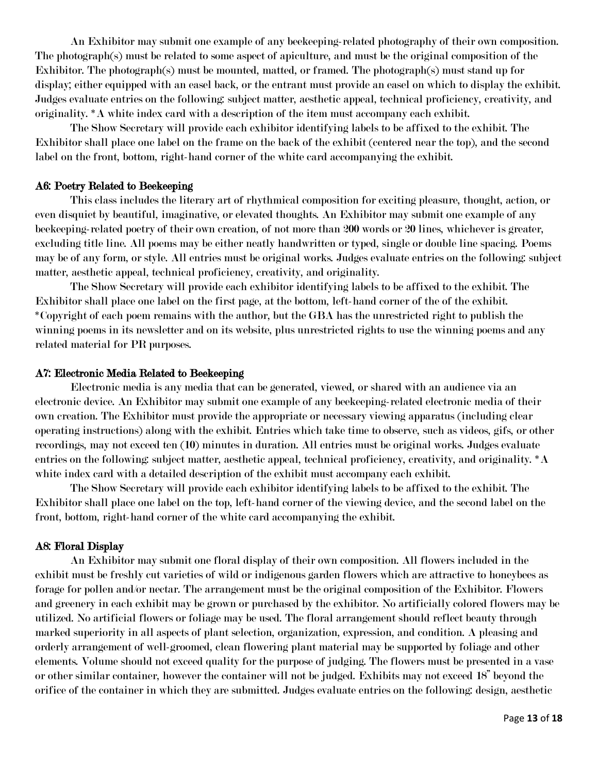An Exhibitor may submit one example of any beekeeping-related photography of their own composition. The photograph(s) must be related to some aspect of apiculture, and must be the original composition of the Exhibitor. The photograph(s) must be mounted, matted, or framed. The photograph(s) must stand up for display; either equipped with an easel back, or the entrant must provide an easel on which to display the exhibit. Judges evaluate entries on the following: subject matter, aesthetic appeal, technical proficiency, creativity, and originality. \*A white index card with a description of the item must accompany each exhibit.

The Show Secretary will provide each exhibitor identifying labels to be affixed to the exhibit. The Exhibitor shall place one label on the frame on the back of the exhibit (centered near the top), and the second label on the front, bottom, right-hand corner of the white card accompanying the exhibit.

### A6: Poetry Related to Beekeeping

This class includes the literary art of rhythmical composition for exciting pleasure, thought, action, or even disquiet by beautiful, imaginative, or elevated thoughts. An Exhibitor may submit one example of any beekeeping-related poetry of their own creation, of not more than 200 words or 20 lines, whichever is greater, excluding title line. All poems may be either neatly handwritten or typed, single or double line spacing. Poems may be of any form, or style. All entries must be original works. Judges evaluate entries on the following: subject matter, aesthetic appeal, technical proficiency, creativity, and originality.

The Show Secretary will provide each exhibitor identifying labels to be affixed to the exhibit. The Exhibitor shall place one label on the first page, at the bottom, left-hand corner of the of the exhibit. \*Copyright of each poem remains with the author, but the GBA has the unrestricted right to publish the winning poems in its newsletter and on its website, plus unrestricted rights to use the winning poems and any related material for PR purposes.

### A7: Electronic Media Related to Beekeeping

Electronic media is any media that can be generated, viewed, or shared with an audience via an electronic device. An Exhibitor may submit one example of any beekeeping-related electronic media of their own creation. The Exhibitor must provide the appropriate or necessary viewing apparatus (including clear operating instructions) along with the exhibit. Entries which take time to observe, such as videos, gifs, or other recordings, may not exceed ten (10) minutes in duration. All entries must be original works. Judges evaluate entries on the following: subject matter, aesthetic appeal, technical proficiency, creativity, and originality. \*A white index card with a detailed description of the exhibit must accompany each exhibit.

The Show Secretary will provide each exhibitor identifying labels to be affixed to the exhibit. The Exhibitor shall place one label on the top, left-hand corner of the viewing device, and the second label on the front, bottom, right-hand corner of the white card accompanying the exhibit.

# A8: Floral Display

An Exhibitor may submit one floral display of their own composition. All flowers included in the exhibit must be freshly cut varieties of wild or indigenous garden flowers which are attractive to honeybees as forage for pollen and/or nectar. The arrangement must be the original composition of the Exhibitor. Flowers and greenery in each exhibit may be grown or purchased by the exhibitor. No artificially colored flowers may be utilized. No artificial flowers or foliage may be used. The floral arrangement should reflect beauty through marked superiority in all aspects of plant selection, organization, expression, and condition. A pleasing and orderly arrangement of well-groomed, clean flowering plant material may be supported by foliage and other elements. Volume should not exceed quality for the purpose of judging. The flowers must be presented in a vase or other similar container, however the container will not be judged. Exhibits may not exceed 18" beyond the orifice of the container in which they are submitted. Judges evaluate entries on the following: design, aesthetic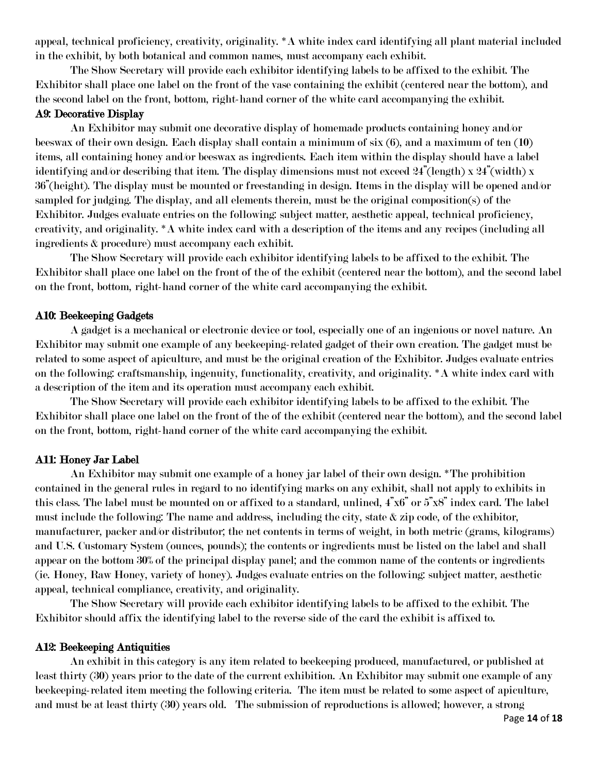appeal, technical proficiency, creativity, originality. \*A white index card identifying all plant material included in the exhibit, by both botanical and common names, must accompany each exhibit.

The Show Secretary will provide each exhibitor identifying labels to be affixed to the exhibit. The Exhibitor shall place one label on the front of the vase containing the exhibit (centered near the bottom), and the second label on the front, bottom, right-hand corner of the white card accompanying the exhibit. A9: Decorative Display

# An Exhibitor may submit one decorative display of homemade products containing honey and/or beeswax of their own design. Each display shall contain a minimum of six (6), and a maximum of ten (10) items, all containing honey and/or beeswax as ingredients. Each item within the display should have a label identifying and/or describing that item. The display dimensions must not exceed  $24$ "(length) x  $24$ "(width) x 36"(height). The display must be mounted or freestanding in design. Items in the display will be opened and/or sampled for judging. The display, and all elements therein, must be the original composition(s) of the Exhibitor. Judges evaluate entries on the following: subject matter, aesthetic appeal, technical proficiency, creativity, and originality. \*A white index card with a description of the items and any recipes (including all ingredients & procedure) must accompany each exhibit.

The Show Secretary will provide each exhibitor identifying labels to be affixed to the exhibit. The Exhibitor shall place one label on the front of the of the exhibit (centered near the bottom), and the second label on the front, bottom, right-hand corner of the white card accompanying the exhibit.

# A10: Beekeeping Gadgets

A gadget is a mechanical or electronic device or tool, especially one of an ingenious or novel nature. An Exhibitor may submit one example of any beekeeping-related gadget of their own creation. The gadget must be related to some aspect of apiculture, and must be the original creation of the Exhibitor. Judges evaluate entries on the following: craftsmanship, ingenuity, functionality, creativity, and originality. \*A white index card with a description of the item and its operation must accompany each exhibit.

The Show Secretary will provide each exhibitor identifying labels to be affixed to the exhibit. The Exhibitor shall place one label on the front of the of the exhibit (centered near the bottom), and the second label on the front, bottom, right-hand corner of the white card accompanying the exhibit.

# A11: Honey Jar Label

An Exhibitor may submit one example of a honey jar label of their own design. \*The prohibition contained in the general rules in regard to no identifying marks on any exhibit, shall not apply to exhibits in this class. The label must be mounted on or affixed to a standard, unlined, 4"x6" or 5"x8" index card. The label must include the following: The name and address, including the city, state & zip code, of the exhibitor, manufacturer, packer and/or distributor; the net contents in terms of weight, in both metric (grams, kilograms) and U.S. Customary System (ounces, pounds); the contents or ingredients must be listed on the label and shall appear on the bottom 30% of the principal display panel; and the common name of the contents or ingredients (ie. Honey, Raw Honey, variety of honey). Judges evaluate entries on the following: subject matter, aesthetic appeal, technical compliance, creativity, and originality.

The Show Secretary will provide each exhibitor identifying labels to be affixed to the exhibit. The Exhibitor should affix the identifying label to the reverse side of the card the exhibit is affixed to.

# A12: Beekeeping Antiquities

 An exhibit in this category is any item related to beekeeping produced, manufactured, or published at least thirty (30) years prior to the date of the current exhibition. An Exhibitor may submit one example of any beekeeping-related item meeting the following criteria. The item must be related to some aspect of apiculture, and must be at least thirty (30) years old. The submission of reproductions is allowed; however, a strong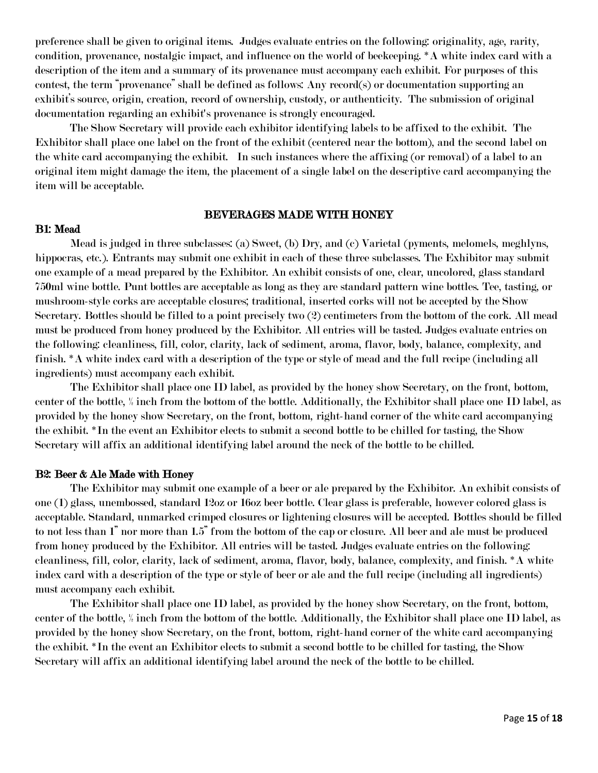preference shall be given to original items. Judges evaluate entries on the following: originality, age, rarity, condition, provenance, nostalgic impact, and influence on the world of beekeeping. \*A white index card with a description of the item and a summary of its provenance must accompany each exhibit. For purposes of this contest, the term "provenance" shall be defined as follows: Any record(s) or documentation supporting an exhibit's source, origin, creation, record of ownership, custody, or authenticity. The submission of original documentation regarding an exhibit's provenance is strongly encouraged.

 The Show Secretary will provide each exhibitor identifying labels to be affixed to the exhibit. The Exhibitor shall place one label on the front of the exhibit (centered near the bottom), and the second label on the white card accompanying the exhibit. In such instances where the affixing (or removal) of a label to an original item might damage the item, the placement of a single label on the descriptive card accompanying the item will be acceptable.

#### BEVERAGES MADE WITH HONEY

#### B1: Mead

Mead is judged in three subclasses: (a) Sweet, (b) Dry, and (c) Varietal (pyments, melomels, meghlyns, hippocras, etc.). Entrants may submit one exhibit in each of these three subclasses. The Exhibitor may submit one example of a mead prepared by the Exhibitor. An exhibit consists of one, clear, uncolored, glass standard 750ml wine bottle. Punt bottles are acceptable as long as they are standard pattern wine bottles. Tee, tasting, or mushroom-style corks are acceptable closures; traditional, inserted corks will not be accepted by the Show Secretary. Bottles should be filled to a point precisely two (2) centimeters from the bottom of the cork. All mead must be produced from honey produced by the Exhibitor. All entries will be tasted. Judges evaluate entries on the following: cleanliness, fill, color, clarity, lack of sediment, aroma, flavor, body, balance, complexity, and finish. \*A white index card with a description of the type or style of mead and the full recipe (including all ingredients) must accompany each exhibit.

The Exhibitor shall place one ID label, as provided by the honey show Secretary, on the front, bottom, center of the bottle, ½ inch from the bottom of the bottle. Additionally, the Exhibitor shall place one ID label, as provided by the honey show Secretary, on the front, bottom, right-hand corner of the white card accompanying the exhibit. \*In the event an Exhibitor elects to submit a second bottle to be chilled for tasting, the Show Secretary will affix an additional identifying label around the neck of the bottle to be chilled.

#### B2: Beer & Ale Made with Honey

The Exhibitor may submit one example of a beer or ale prepared by the Exhibitor. An exhibit consists of one (1) glass, unembossed, standard 12oz or 16oz beer bottle. Clear glass is preferable, however colored glass is acceptable. Standard, unmarked crimped closures or lightening closures will be accepted. Bottles should be filled to not less than 1" nor more than 1.5" from the bottom of the cap or closure. All beer and ale must be produced from honey produced by the Exhibitor. All entries will be tasted. Judges evaluate entries on the following: cleanliness, fill, color, clarity, lack of sediment, aroma, flavor, body, balance, complexity, and finish. \*A white index card with a description of the type or style of beer or ale and the full recipe (including all ingredients) must accompany each exhibit.

The Exhibitor shall place one ID label, as provided by the honey show Secretary, on the front, bottom, center of the bottle, ½ inch from the bottom of the bottle. Additionally, the Exhibitor shall place one ID label, as provided by the honey show Secretary, on the front, bottom, right-hand corner of the white card accompanying the exhibit. \*In the event an Exhibitor elects to submit a second bottle to be chilled for tasting, the Show Secretary will affix an additional identifying label around the neck of the bottle to be chilled.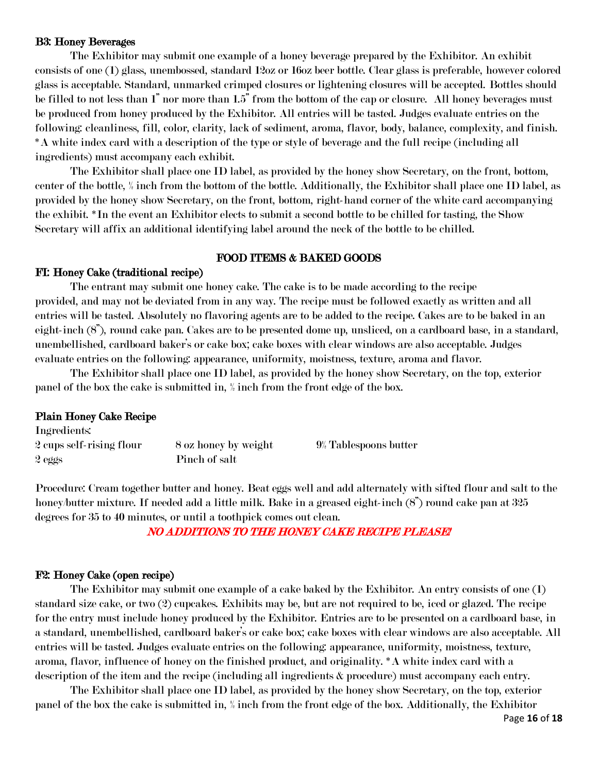#### B3: Honey Beverages

The Exhibitor may submit one example of a honey beverage prepared by the Exhibitor. An exhibit consists of one (1) glass, unembossed, standard 12oz or 16oz beer bottle. Clear glass is preferable, however colored glass is acceptable. Standard, unmarked crimped closures or lightening closures will be accepted. Bottles should be filled to not less than 1" nor more than 1.5" from the bottom of the cap or closure. All honey beverages must be produced from honey produced by the Exhibitor. All entries will be tasted. Judges evaluate entries on the following: cleanliness, fill, color, clarity, lack of sediment, aroma, flavor, body, balance, complexity, and finish. \*A white index card with a description of the type or style of beverage and the full recipe (including all ingredients) must accompany each exhibit.

The Exhibitor shall place one ID label, as provided by the honey show Secretary, on the front, bottom, center of the bottle, ½ inch from the bottom of the bottle. Additionally, the Exhibitor shall place one ID label, as provided by the honey show Secretary, on the front, bottom, right-hand corner of the white card accompanying the exhibit. \*In the event an Exhibitor elects to submit a second bottle to be chilled for tasting, the Show Secretary will affix an additional identifying label around the neck of the bottle to be chilled.

# FOOD ITEMS & BAKED GOODS

# FI: Honey Cake (traditional recipe)

The entrant may submit one honey cake. The cake is to be made according to the recipe provided, and may not be deviated from in any way. The recipe must be followed exactly as written and all entries will be tasted. Absolutely no flavoring agents are to be added to the recipe. Cakes are to be baked in an eight-inch (8"), round cake pan. Cakes are to be presented dome up, unsliced, on a cardboard base, in a standard, unembellished, cardboard baker's or cake box; cake boxes with clear windows are also acceptable. Judges evaluate entries on the following: appearance, uniformity, moistness, texture, aroma and flavor.

The Exhibitor shall place one ID label, as provided by the honey show Secretary, on the top, exterior panel of the box the cake is submitted in, ½ inch from the front edge of the box.

#### Plain Honey Cake Recipe

Ingredients:

| 2 cups self-rising flour | 8 oz honey by weight | $9\%$ Tablespoons butter |
|--------------------------|----------------------|--------------------------|
| 2 eggs                   | Pinch of salt        |                          |

Procedure: Cream together butter and honey. Beat eggs well and add alternately with sifted flour and salt to the honey/butter mixture. If needed add a little milk. Bake in a greased eight-inch  $(8)$ " round cake pan at 325 degrees for 35 to 40 minutes, or until a toothpick comes out clean.

NO ADDITIONS TO THE HONEY CAKE RECIPE PLEASE!

# F2: Honey Cake (open recipe)

The Exhibitor may submit one example of a cake baked by the Exhibitor. An entry consists of one (1) standard size cake, or two (2) cupcakes. Exhibits may be, but are not required to be, iced or glazed. The recipe for the entry must include honey produced by the Exhibitor. Entries are to be presented on a cardboard base, in a standard, unembellished, cardboard baker's or cake box; cake boxes with clear windows are also acceptable. All entries will be tasted. Judges evaluate entries on the following: appearance, uniformity, moistness, texture, aroma, flavor, influence of honey on the finished product, and originality. \*A white index card with a description of the item and the recipe (including all ingredients & procedure) must accompany each entry.

The Exhibitor shall place one ID label, as provided by the honey show Secretary, on the top, exterior panel of the box the cake is submitted in, ½ inch from the front edge of the box. Additionally, the Exhibitor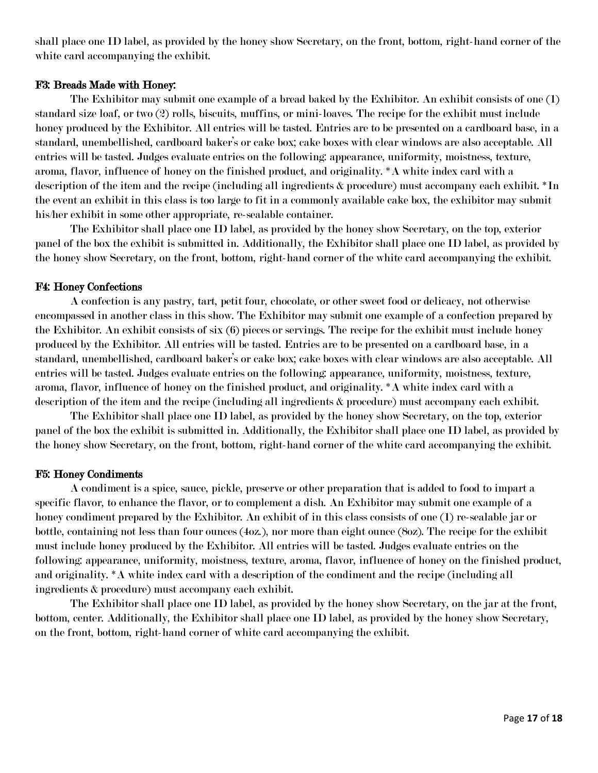shall place one ID label, as provided by the honey show Secretary, on the front, bottom, right-hand corner of the white card accompanying the exhibit.

# F3: Breads Made with Honey:

The Exhibitor may submit one example of a bread baked by the Exhibitor. An exhibit consists of one (1) standard size loaf, or two (2) rolls, biscuits, muffins, or mini-loaves. The recipe for the exhibit must include honey produced by the Exhibitor. All entries will be tasted. Entries are to be presented on a cardboard base, in a standard, unembellished, cardboard baker's or cake box; cake boxes with clear windows are also acceptable. All entries will be tasted. Judges evaluate entries on the following: appearance, uniformity, moistness, texture, aroma, flavor, influence of honey on the finished product, and originality. \*A white index card with a description of the item and the recipe (including all ingredients & procedure) must accompany each exhibit. \*In the event an exhibit in this class is too large to fit in a commonly available cake box, the exhibitor may submit his/her exhibit in some other appropriate, re-sealable container.

The Exhibitor shall place one ID label, as provided by the honey show Secretary, on the top, exterior panel of the box the exhibit is submitted in. Additionally, the Exhibitor shall place one ID label, as provided by the honey show Secretary, on the front, bottom, right-hand corner of the white card accompanying the exhibit.

# F4: Honey Confections

A confection is any pastry, tart, petit four, chocolate, or other sweet food or delicacy, not otherwise encompassed in another class in this show. The Exhibitor may submit one example of a confection prepared by the Exhibitor. An exhibit consists of six (6) pieces or servings. The recipe for the exhibit must include honey produced by the Exhibitor. All entries will be tasted. Entries are to be presented on a cardboard base, in a standard, unembellished, cardboard baker's or cake box; cake boxes with clear windows are also acceptable. All entries will be tasted. Judges evaluate entries on the following: appearance, uniformity, moistness, texture, aroma, flavor, influence of honey on the finished product, and originality. \*A white index card with a description of the item and the recipe (including all ingredients & procedure) must accompany each exhibit.

The Exhibitor shall place one ID label, as provided by the honey show Secretary, on the top, exterior panel of the box the exhibit is submitted in. Additionally, the Exhibitor shall place one ID label, as provided by the honey show Secretary, on the front, bottom, right-hand corner of the white card accompanying the exhibit.

# F5: Honey Condiments

A condiment is a spice, sauce, pickle, preserve or other preparation that is added to food to impart a specific flavor, to enhance the flavor, or to complement a dish. An Exhibitor may submit one example of a honey condiment prepared by the Exhibitor. An exhibit of in this class consists of one (1) re-sealable jar or bottle, containing not less than four ounces (4oz.), nor more than eight ounce (8oz). The recipe for the exhibit must include honey produced by the Exhibitor. All entries will be tasted. Judges evaluate entries on the following: appearance, uniformity, moistness, texture, aroma, flavor, influence of honey on the finished product, and originality. \*A white index card with a description of the condiment and the recipe (including all ingredients & procedure) must accompany each exhibit.

The Exhibitor shall place one ID label, as provided by the honey show Secretary, on the jar at the front, bottom, center. Additionally, the Exhibitor shall place one ID label, as provided by the honey show Secretary, on the front, bottom, right-hand corner of white card accompanying the exhibit.